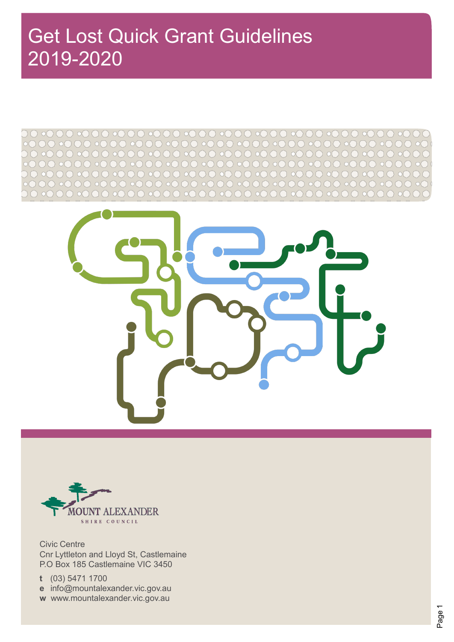# Get Lost Quick Grant Guidelines 2019-2020

0 00 000 0000 0000 0000 0000 0000 0000 000 00 0000 0000 0000 0000 0000 0000 000 00:000 0000:000 0000 0000 0000 0000 000 ) ⊙00 ⊙00 ⊙00 ⊙00 ⊙00 ⊙00 ⊙00 ⊙00 ⊙ COC 





Civic Centre Cnr Lyttleton and Lloyd St, Castlemaine P.O Box 185 Castlemaine VIC 3450

**t** (03) 5471 1700 **e** [info@mountalexander.vic.gov.au](mailto:info@mountalexander.vic.gov.au)

**w** [www.mountalexander.vic.gov.au](http://www.mountalexander.vic.gov.au/)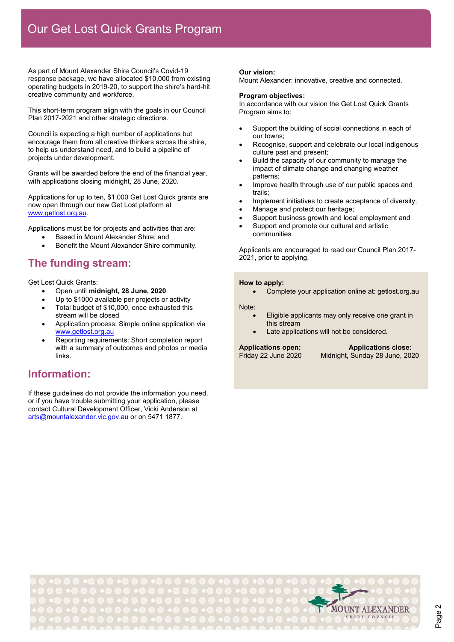# Our Get Lost Quick Grants Program

As part of Mount Alexander Shire Council's Covid-19 response package, we have allocated \$10,000 from existing operating budgets in 2019-20, to support the shire's hard-hit creative community and workforce.

This short-term program align with the goals in our Council Plan 2017-2021 and other strategic directions.

Council is expecting a high number of applications but encourage them from all creative thinkers across the shire, to help us understand need, and to build a pipeline of projects under development.

Grants will be awarded before the end of the financial year, with applications closing midnight, 28 June, 2020.

Applications for up to ten, \$1,000 Get Lost Quick grants are now open through our new Get Lost platform at [www.getlost.org.au.](http://www.getlost.org.au/)

Applications must be for projects and activities that are:

- Based in Mount Alexander Shire; and
- Benefit the Mount Alexander Shire community.

# **The funding stream:**

Get Lost Quick Grants:

- Open until **midnight, 28 June, 2020**
- Up to \$1000 available per projects or activity
- Total budget of \$10,000, once exhausted this stream will be closed
- Application process: Simple online application via [www.getlost.org.au](http://www.getlost.org.au/)
- Reporting requirements: Short completion report with a summary of outcomes and photos or media links.

### **Information:**

If these guidelines do not provide the information you need, or if you have trouble submitting your application, please contact Cultural Development Officer, Vicki Anderson at [arts@mountalexander.vic.gov.au](mailto:arts@mountalexander.vic.gov.au) or on 5471 1877.

#### **Our vision:**

Mount Alexander: innovative, creative and connected.

#### **Program objectives:**

In accordance with our vision the Get Lost Quick Grants Program aims to:

- Support the building of social connections in each of our towns;
- Recognise, support and celebrate our local indigenous culture past and present;
- Build the capacity of our community to manage the impact of climate change and changing weather patterns;
- Improve health through use of our public spaces and trails;
- Implement initiatives to create acceptance of diversity;
- Manage and protect our heritage;
- Support business growth and local employment and
- Support and promote our cultural and artistic communities

Applicants are encouraged to read our Council Plan 2017- 2021, prior to applying.

#### **How to apply:**

• Complete your application online at: getlost.org.au

Note:

- Eligible applicants may only receive one grant in this stream
- Late applications will not be considered.

**Applications open: Applications close:** Midnight, Sunday 28 June, 2020

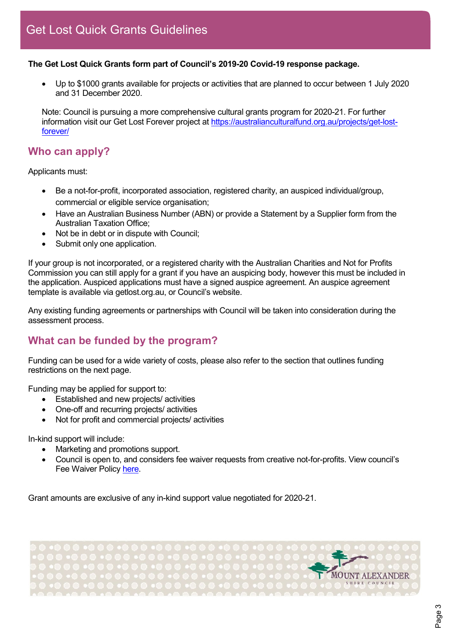#### **The Get Lost Quick Grants form part of Council's 2019-20 Covid-19 response package.**

• Up to \$1000 grants available for projects or activities that are planned to occur between 1 July 2020 and 31 December 2020.

Note: Council is pursuing a more comprehensive cultural grants program for 2020-21. For further information visit our Get Lost Forever project at [https://australianculturalfund.org.au/projects/get-lost](https://australianculturalfund.org.au/projects/get-lost-forever/)[forever/](https://australianculturalfund.org.au/projects/get-lost-forever/)

#### **Who can apply?**

Applicants must:

- Be a not-for-profit, incorporated association, registered charity, an auspiced individual/group, commercial or eligible service organisation;
- Have an Australian Business Number (ABN) or provide a Statement by a Supplier form from the Australian Taxation Office;
- Not be in debt or in dispute with Council;
- Submit only one application.

If your group is not incorporated, or a registered charity with the Australian Charities and Not for Profits Commission you can still apply for a grant if you have an auspicing body, however this must be included in the application. Auspiced applications must have a signed auspice agreement. An auspice agreement template is available via getlost.org.au, or Council's website.

Any existing funding agreements or partnerships with Council will be taken into consideration during the assessment process.

### **What can be funded by the program?**

Funding can be used for a wide variety of costs, please also refer to the section that outlines funding restrictions on the next page.

Funding may be applied for support to:

- Established and new projects/ activities
- One-off and recurring projects/ activities
- Not for profit and commercial projects/ activities

In-kind support will include:

- Marketing and promotions support.
- Council is open to, and considers fee waiver requests from creative not-for-profits. View council's Fee Waiver Policy [here.](https://www.mountalexander.vic.gov.au/files/Fee_Waiver_Policy_reviewed_March_2012_Signed.PDF)

Grant amounts are exclusive of any in-kind support value negotiated for 2020-21.

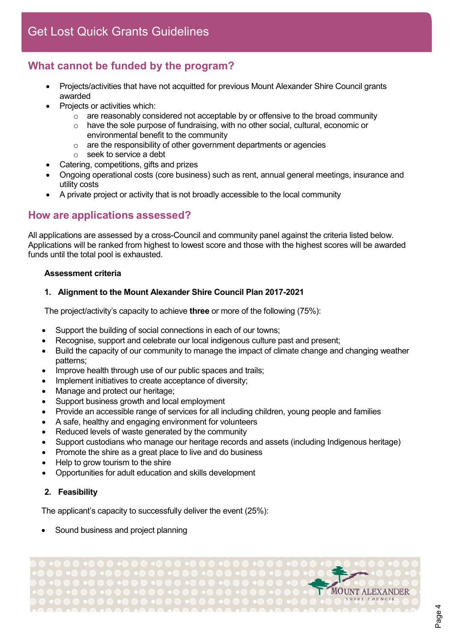# **What cannot be funded by the program?**

- Projects/activities that have not acquitted for previous Mount Alexander Shire Council grants awarded
- Projects or activities which:
	- $\circ$  are reasonably considered not acceptable by or offensive to the broad community
	- o have the sole purpose of fundraising, with no other social, cultural, economic or environmental benefit to the community
	- $\circ$  are the responsibility of other government departments or agencies  $\circ$  seek to service a debt
	- seek to service a debt
- Catering, competitions, gifts and prizes
- Ongoing operational costs (core business) such as rent, annual general meetings, insurance and utility costs
- A private project or activity that is not broadly accessible to the local community

#### **How are applications assessed?**

All applications are assessed by a cross-Council and community panel against the criteria listed below. Applications will be ranked from highest to lowest score and those with the highest scores will be awarded funds until the total pool is exhausted.

#### **Assessment criteria**

#### **1. Alignment to the Mount Alexander Shire Council Plan 2017-2021**

The project/activity's capacity to achieve **three** or more of the following (75%):

- Support the building of social connections in each of our towns;
- Recognise, support and celebrate our local indigenous culture past and present;
- Build the capacity of our community to manage the impact of climate change and changing weather patterns;
- Improve health through use of our public spaces and trails;
- Implement initiatives to create acceptance of diversity;
- Manage and protect our heritage;
- Support business growth and local employment
- Provide an accessible range of services for all including children, young people and families
- A safe, healthy and engaging environment for volunteers
- Reduced levels of waste generated by the community
- Support custodians who manage our heritage records and assets (including Indigenous heritage)
- Promote the shire as a great place to live and do business
- Help to grow tourism to the shire
- Opportunities for adult education and skills development

#### **2. Feasibility**

The applicant's capacity to successfully deliver the event (25%):

• Sound business and project planning